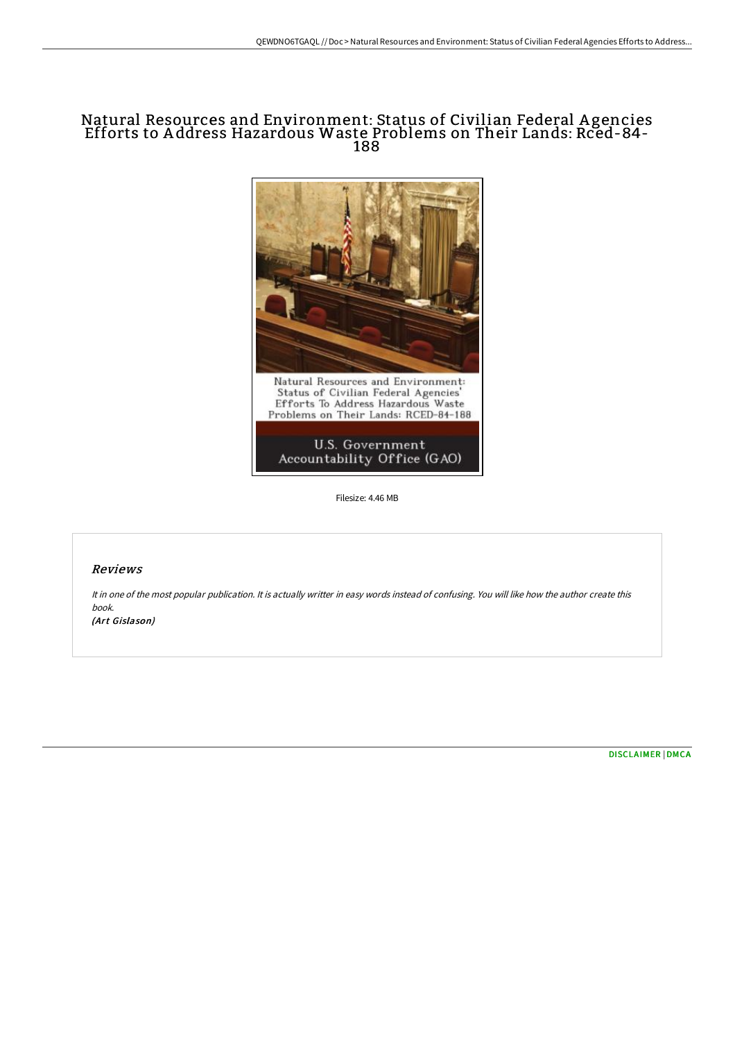# Natural Resources and Environment: Status of Civilian Federal A gencies Efforts to A ddress Hazardous Waste Problems on Their Lands: Rced-84- 188



Filesize: 4.46 MB

#### Reviews

It in one of the most popular publication. It is actually writter in easy words instead of confusing. You will like how the author create this book.

(Art Gislason)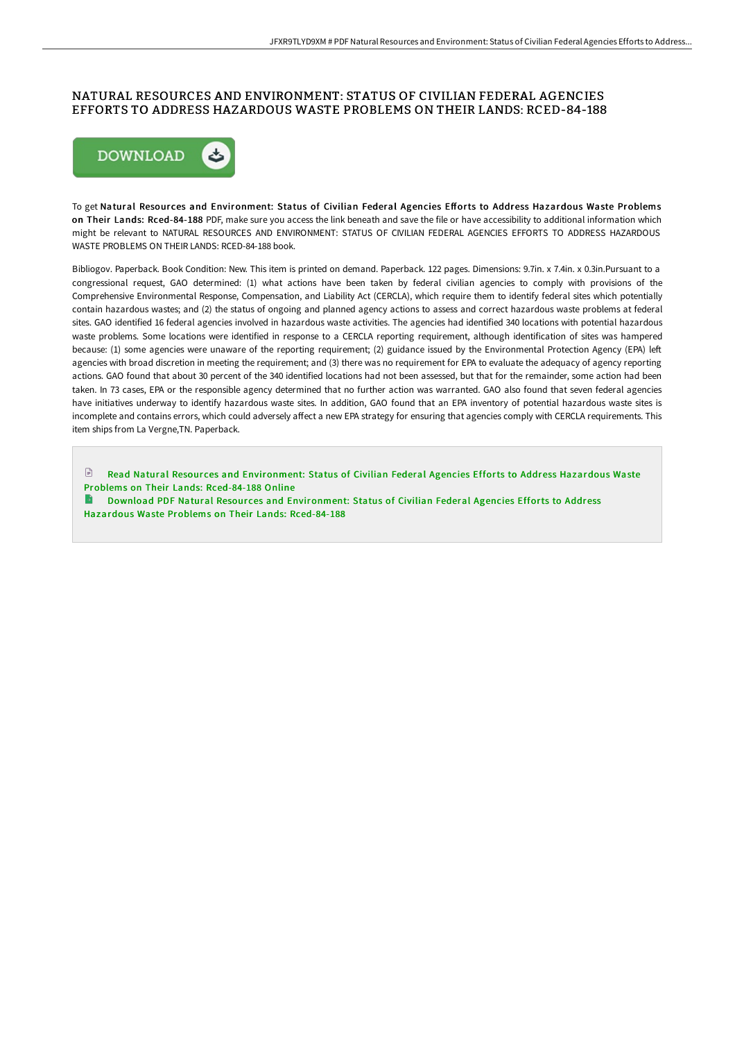## NATURAL RESOURCES AND ENVIRONMENT: STATUS OF CIVILIAN FEDERAL AGENCIES EFFORTS TO ADDRESS HAZARDOUS WASTE PROBLEMS ON THEIR LANDS: RCED-84-188



To get Natural Resources and Environment: Status of Civilian Federal Agencies Efforts to Address Hazardous Waste Problems on Their Lands: Rced-84-188 PDF, make sure you access the link beneath and save the file or have accessibility to additional information which might be relevant to NATURAL RESOURCES AND ENVIRONMENT: STATUS OF CIVILIAN FEDERAL AGENCIES EFFORTS TO ADDRESS HAZARDOUS WASTE PROBLEMS ON THEIR LANDS: RCED-84-188 book.

Bibliogov. Paperback. Book Condition: New. This item is printed on demand. Paperback. 122 pages. Dimensions: 9.7in. x 7.4in. x 0.3in.Pursuant to a congressional request, GAO determined: (1) what actions have been taken by federal civilian agencies to comply with provisions of the Comprehensive Environmental Response, Compensation, and Liability Act (CERCLA), which require them to identify federal sites which potentially contain hazardous wastes; and (2) the status of ongoing and planned agency actions to assess and correct hazardous waste problems at federal sites. GAO identified 16 federal agencies involved in hazardous waste activities. The agencies had identified 340 locations with potential hazardous waste problems. Some locations were identified in response to a CERCLA reporting requirement, although identification of sites was hampered because: (1) some agencies were unaware of the reporting requirement; (2) guidance issued by the Environmental Protection Agency (EPA) left agencies with broad discretion in meeting the requirement; and (3) there was no requirement for EPA to evaluate the adequacy of agency reporting actions. GAO found that about 30 percent of the 340 identified locations had not been assessed, but that for the remainder, some action had been taken. In 73 cases, EPA or the responsible agency determined that no further action was warranted. GAO also found that seven federal agencies have initiatives underway to identify hazardous waste sites. In addition, GAO found that an EPA inventory of potential hazardous waste sites is incomplete and contains errors, which could adversely affect a new EPA strategy for ensuring that agencies comply with CERCLA requirements. This item ships from La Vergne,TN. Paperback.

 $\mathbb{R}$ Read Natural Resour ces and [Environment:](http://techno-pub.tech/natural-resources-and-environment-status-of-civi.html) Status of Civilian Federal Agencies Efforts to Address Hazardous Waste Problems on Their Lands: Rced-84-188 Online

Download PDF Natural Resources and [Environment:](http://techno-pub.tech/natural-resources-and-environment-status-of-civi.html) Status of Civilian Federal Agencies Efforts to Address Hazardous Waste Problems on Their Lands: Rced-84-188